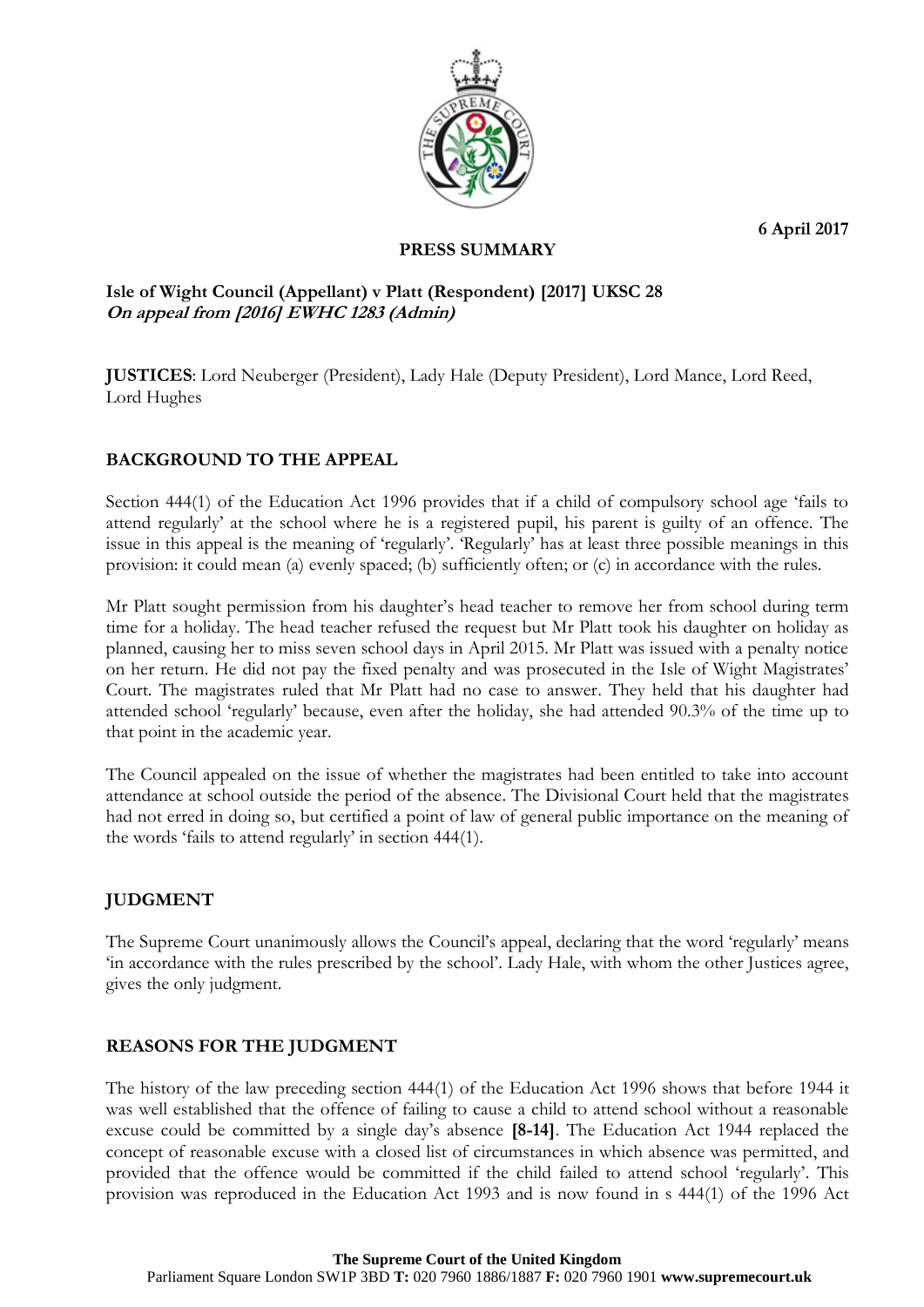**6 April 2017**



## **PRESS SUMMARY**

## **Isle of Wight Council (Appellant) v Platt (Respondent) [2017] UKSC 28 On appeal from [2016] EWHC 1283 (Admin)**

**JUSTICES**: Lord Neuberger (President), Lady Hale (Deputy President), Lord Mance, Lord Reed, Lord Hughes

# **BACKGROUND TO THE APPEAL**

Section 444(1) of the Education Act 1996 provides that if a child of compulsory school age 'fails to attend regularly' at the school where he is a registered pupil, his parent is guilty of an offence. The issue in this appeal is the meaning of 'regularly'. 'Regularly' has at least three possible meanings in this provision: it could mean (a) evenly spaced; (b) sufficiently often; or (c) in accordance with the rules.

Mr Platt sought permission from his daughter's head teacher to remove her from school during term time for a holiday. The head teacher refused the request but Mr Platt took his daughter on holiday as planned, causing her to miss seven school days in April 2015. Mr Platt was issued with a penalty notice on her return. He did not pay the fixed penalty and was prosecuted in the Isle of Wight Magistrates' Court. The magistrates ruled that Mr Platt had no case to answer. They held that his daughter had attended school 'regularly' because, even after the holiday, she had attended 90.3% of the time up to that point in the academic year.

The Council appealed on the issue of whether the magistrates had been entitled to take into account attendance at school outside the period of the absence. The Divisional Court held that the magistrates had not erred in doing so, but certified a point of law of general public importance on the meaning of the words 'fails to attend regularly' in section 444(1).

## **JUDGMENT**

The Supreme Court unanimously allows the Council's appeal, declaring that the word 'regularly' means 'in accordance with the rules prescribed by the school'. Lady Hale, with whom the other Justices agree, gives the only judgment.

## **REASONS FOR THE JUDGMENT**

The history of the law preceding section 444(1) of the Education Act 1996 shows that before 1944 it was well established that the offence of failing to cause a child to attend school without a reasonable excuse could be committed by a single day's absence **[8-14]**. The Education Act 1944 replaced the concept of reasonable excuse with a closed list of circumstances in which absence was permitted, and provided that the offence would be committed if the child failed to attend school 'regularly'. This provision was reproduced in the Education Act 1993 and is now found in s 444(1) of the 1996 Act